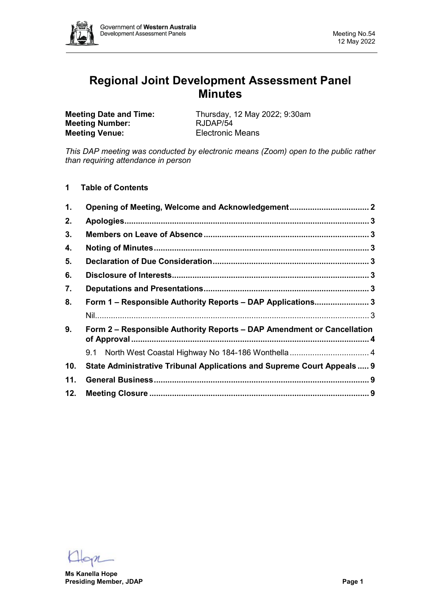

# **Regional Joint Development Assessment Panel Minutes**

**Meeting Number: Meeting Venue:** Electronic Means

**Meeting Date and Time:** Thursday, 12 May 2022; 9:30am<br> **Meeting Number:** RJDAP/54

*This DAP meeting was conducted by electronic means (Zoom) open to the public rather than requiring attendance in person*

**1 Table of Contents**

| 1.  |                                                                         |  |
|-----|-------------------------------------------------------------------------|--|
| 2.  |                                                                         |  |
| 3.  |                                                                         |  |
| 4.  |                                                                         |  |
| 5.  |                                                                         |  |
| 6.  |                                                                         |  |
| 7.  |                                                                         |  |
| 8.  | Form 1 - Responsible Authority Reports - DAP Applications 3             |  |
|     |                                                                         |  |
| 9.  | Form 2 – Responsible Authority Reports – DAP Amendment or Cancellation  |  |
|     |                                                                         |  |
| 10. | State Administrative Tribunal Applications and Supreme Court Appeals  9 |  |
| 11. |                                                                         |  |
| 12. |                                                                         |  |

**Ms Kanella Hope Presiding Member, JDAP Page 1**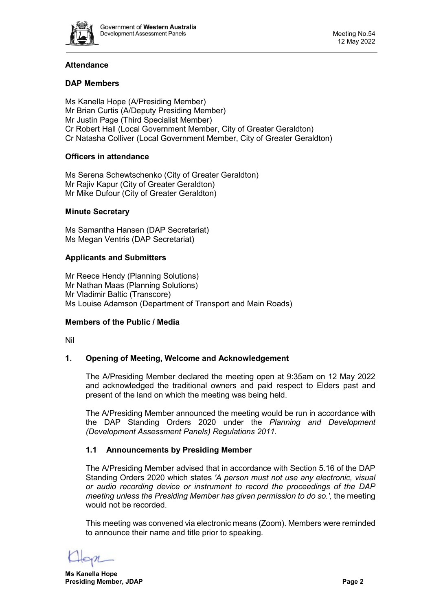

# **Attendance**

# **DAP Members**

Ms Kanella Hope (A/Presiding Member) Mr Brian Curtis (A/Deputy Presiding Member) Mr Justin Page (Third Specialist Member) Cr Robert Hall (Local Government Member, City of Greater Geraldton) Cr Natasha Colliver (Local Government Member, City of Greater Geraldton)

# **Officers in attendance**

Ms Serena Schewtschenko (City of Greater Geraldton) Mr Rajiv Kapur (City of Greater Geraldton) Mr Mike Dufour (City of Greater Geraldton)

#### **Minute Secretary**

Ms Samantha Hansen (DAP Secretariat) Ms Megan Ventris (DAP Secretariat)

#### **Applicants and Submitters**

Mr Reece Hendy (Planning Solutions) Mr Nathan Maas (Planning Solutions) Mr Vladimir Baltic (Transcore) Ms Louise Adamson (Department of Transport and Main Roads)

#### **Members of the Public / Media**

<span id="page-1-0"></span>Nil

# **1. Opening of Meeting, Welcome and Acknowledgement**

The A/Presiding Member declared the meeting open at 9:35am on 12 May 2022 and acknowledged the traditional owners and paid respect to Elders past and present of the land on which the meeting was being held.

The A/Presiding Member announced the meeting would be run in accordance with the DAP Standing Orders 2020 under the *Planning and Development (Development Assessment Panels) Regulations 2011.*

# **1.1 Announcements by Presiding Member**

The A/Presiding Member advised that in accordance with Section 5.16 of the DAP Standing Orders 2020 which states *'A person must not use any electronic, visual or audio recording device or instrument to record the proceedings of the DAP meeting unless the Presiding Member has given permission to do so.',* the meeting would not be recorded.

This meeting was convened via electronic means (Zoom). Members were reminded to announce their name and title prior to speaking.

**Ms Kanella Hope Presiding Member, JDAP Page 2**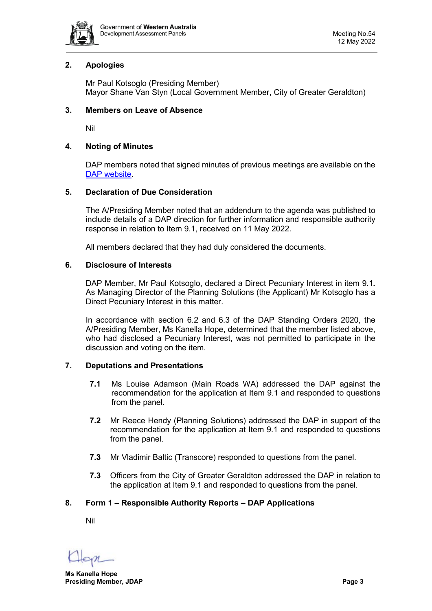

# <span id="page-2-0"></span>**2. Apologies**

Mr Paul Kotsoglo (Presiding Member) Mayor Shane Van Styn (Local Government Member, City of Greater Geraldton)

## <span id="page-2-1"></span>**3. Members on Leave of Absence**

Nil

## <span id="page-2-2"></span>**4. Noting of Minutes**

DAP members noted that signed minutes of previous meetings are available on the [DAP website.](https://www.dplh.wa.gov.au/about/development-assessment-panels/daps-agendas-and-minutes)

#### <span id="page-2-3"></span>**5. Declaration of Due Consideration**

The A/Presiding Member noted that an addendum to the agenda was published to include details of a DAP direction for further information and responsible authority response in relation to Item 9.1, received on 11 May 2022.

All members declared that they had duly considered the documents.

#### <span id="page-2-4"></span>**6. Disclosure of Interests**

DAP Member, Mr Paul Kotsoglo, declared a Direct Pecuniary Interest in item 9.1*.*  As Managing Director of the Planning Solutions (the Applicant) Mr Kotsoglo has a Direct Pecuniary Interest in this matter.

In accordance with section 6.2 and 6.3 of the DAP Standing Orders 2020, the A/Presiding Member, Ms Kanella Hope, determined that the member listed above, who had disclosed a Pecuniary Interest, was not permitted to participate in the discussion and voting on the item.

# <span id="page-2-5"></span>**7. Deputations and Presentations**

- **7.1** Ms Louise Adamson (Main Roads WA) addressed the DAP against the recommendation for the application at Item 9.1 and responded to questions from the panel.
- **7.2** Mr Reece Hendy (Planning Solutions) addressed the DAP in support of the recommendation for the application at Item 9.1 and responded to questions from the panel.
- **7.3** Mr Vladimir Baltic (Transcore) responded to questions from the panel.
- **7.3** Officers from the City of Greater Geraldton addressed the DAP in relation to the application at Item 9.1 and responded to questions from the panel.

# <span id="page-2-7"></span><span id="page-2-6"></span>**8. Form 1 – Responsible Authority Reports – DAP Applications**

Nil

**Ms Kanella Hope Presiding Member, JDAP Page 3**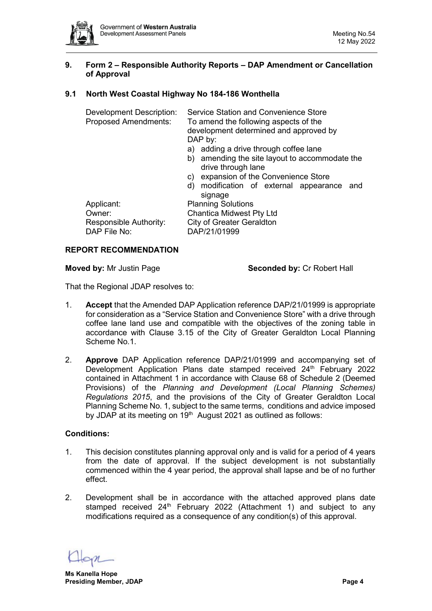## <span id="page-3-0"></span>**9. Form 2 – Responsible Authority Reports – DAP Amendment or Cancellation of Approval**

# <span id="page-3-1"></span>**9.1 North West Coastal Highway No 184-186 Wonthella**

| <b>Development Description:</b><br><b>Proposed Amendments:</b> | Service Station and Convenience Store<br>To amend the following aspects of the |  |  |  |
|----------------------------------------------------------------|--------------------------------------------------------------------------------|--|--|--|
|                                                                | development determined and approved by<br>DAP by:                              |  |  |  |
|                                                                | a) adding a drive through coffee lane                                          |  |  |  |
|                                                                | b) amending the site layout to accommodate the<br>drive through lane           |  |  |  |
|                                                                | expansion of the Convenience Store<br>C)                                       |  |  |  |
|                                                                | d) modification of external appearance<br>and<br>signage                       |  |  |  |
| Applicant:                                                     | <b>Planning Solutions</b>                                                      |  |  |  |
| Owner:                                                         | <b>Chantica Midwest Pty Ltd</b>                                                |  |  |  |
| Responsible Authority:                                         | <b>City of Greater Geraldton</b>                                               |  |  |  |
| DAP File No:                                                   | DAP/21/01999                                                                   |  |  |  |

#### **REPORT RECOMMENDATION**

**Moved by:** Mr Justin Page **Seconded by:** Cr Robert Hall

That the Regional JDAP resolves to:

- 1. **Accept** that the Amended DAP Application reference DAP/21/01999 is appropriate for consideration as a "Service Station and Convenience Store" with a drive through coffee lane land use and compatible with the objectives of the zoning table in accordance with Clause 3.15 of the City of Greater Geraldton Local Planning Scheme No.1.
- 2. **Approve** DAP Application reference DAP/21/01999 and accompanying set of Development Application Plans date stamped received 24<sup>th</sup> February 2022 contained in Attachment 1 in accordance with Clause 68 of Schedule 2 (Deemed Provisions) of the *Planning and Development (Local Planning Schemes) Regulations 2015*, and the provisions of the City of Greater Geraldton Local Planning Scheme No. 1, subject to the same terms, conditions and advice imposed by JDAP at its meeting on  $19<sup>th</sup>$  August 2021 as outlined as follows:

#### **Conditions:**

- 1. This decision constitutes planning approval only and is valid for a period of 4 years from the date of approval. If the subject development is not substantially commenced within the 4 year period, the approval shall lapse and be of no further effect.
- 2. Development shall be in accordance with the attached approved plans date stamped received 24<sup>th</sup> February 2022 (Attachment 1) and subject to any modifications required as a consequence of any condition(s) of this approval.

**Ms Kanella Hope Presiding Member, JDAP Page 4**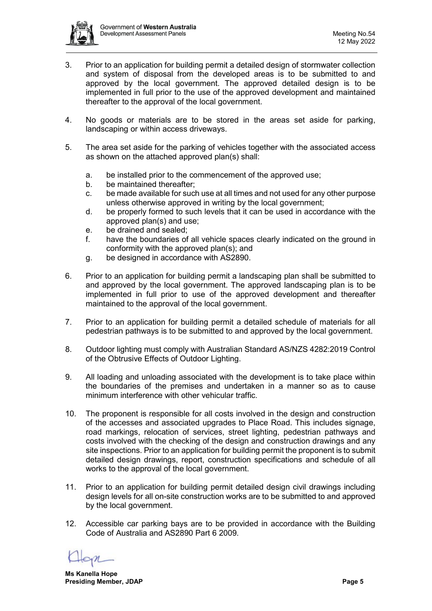

- 3. Prior to an application for building permit a detailed design of stormwater collection and system of disposal from the developed areas is to be submitted to and approved by the local government. The approved detailed design is to be implemented in full prior to the use of the approved development and maintained thereafter to the approval of the local government.
- 4. No goods or materials are to be stored in the areas set aside for parking, landscaping or within access driveways.
- 5. The area set aside for the parking of vehicles together with the associated access as shown on the attached approved plan(s) shall:
	- a. be installed prior to the commencement of the approved use;
	- b. be maintained thereafter;
	- c. be made available for such use at all times and not used for any other purpose unless otherwise approved in writing by the local government;
	- d. be properly formed to such levels that it can be used in accordance with the approved plan(s) and use;
	- e. be drained and sealed;
	- f. have the boundaries of all vehicle spaces clearly indicated on the ground in conformity with the approved plan(s); and
	- g. be designed in accordance with AS2890.
- 6. Prior to an application for building permit a landscaping plan shall be submitted to and approved by the local government. The approved landscaping plan is to be implemented in full prior to use of the approved development and thereafter maintained to the approval of the local government.
- 7. Prior to an application for building permit a detailed schedule of materials for all pedestrian pathways is to be submitted to and approved by the local government.
- 8. Outdoor lighting must comply with Australian Standard AS/NZS 4282:2019 Control of the Obtrusive Effects of Outdoor Lighting.
- 9. All loading and unloading associated with the development is to take place within the boundaries of the premises and undertaken in a manner so as to cause minimum interference with other vehicular traffic.
- 10. The proponent is responsible for all costs involved in the design and construction of the accesses and associated upgrades to Place Road. This includes signage, road markings, relocation of services, street lighting, pedestrian pathways and costs involved with the checking of the design and construction drawings and any site inspections. Prior to an application for building permit the proponent is to submit detailed design drawings, report, construction specifications and schedule of all works to the approval of the local government.
- 11. Prior to an application for building permit detailed design civil drawings including design levels for all on-site construction works are to be submitted to and approved by the local government.
- 12. Accessible car parking bays are to be provided in accordance with the Building Code of Australia and AS2890 Part 6 2009.

**Ms Kanella Hope Presiding Member, JDAP Page 5**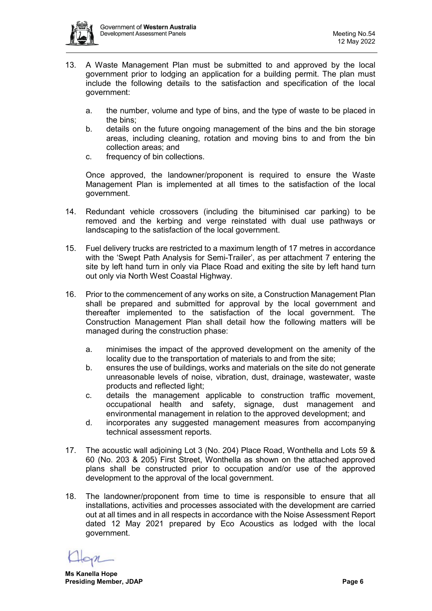

- 13. A Waste Management Plan must be submitted to and approved by the local government prior to lodging an application for a building permit. The plan must include the following details to the satisfaction and specification of the local government:
	- a. the number, volume and type of bins, and the type of waste to be placed in the bins;
	- b. details on the future ongoing management of the bins and the bin storage areas, including cleaning, rotation and moving bins to and from the bin collection areas; and
	- c. frequency of bin collections.

Once approved, the landowner/proponent is required to ensure the Waste Management Plan is implemented at all times to the satisfaction of the local government.

- 14. Redundant vehicle crossovers (including the bituminised car parking) to be removed and the kerbing and verge reinstated with dual use pathways or landscaping to the satisfaction of the local government.
- 15. Fuel delivery trucks are restricted to a maximum length of 17 metres in accordance with the 'Swept Path Analysis for Semi-Trailer', as per attachment 7 entering the site by left hand turn in only via Place Road and exiting the site by left hand turn out only via North West Coastal Highway.
- 16. Prior to the commencement of any works on site, a Construction Management Plan shall be prepared and submitted for approval by the local government and thereafter implemented to the satisfaction of the local government. The Construction Management Plan shall detail how the following matters will be managed during the construction phase:
	- a. minimises the impact of the approved development on the amenity of the locality due to the transportation of materials to and from the site;
	- b. ensures the use of buildings, works and materials on the site do not generate unreasonable levels of noise, vibration, dust, drainage, wastewater, waste products and reflected light;
	- c. details the management applicable to construction traffic movement, occupational health and safety, signage, dust management and environmental management in relation to the approved development; and
	- d. incorporates any suggested management measures from accompanying technical assessment reports.
- 17. The acoustic wall adjoining Lot 3 (No. 204) Place Road, Wonthella and Lots 59 & 60 (No. 203 & 205) First Street, Wonthella as shown on the attached approved plans shall be constructed prior to occupation and/or use of the approved development to the approval of the local government.
- 18. The landowner/proponent from time to time is responsible to ensure that all installations, activities and processes associated with the development are carried out at all times and in all respects in accordance with the Noise Assessment Report dated 12 May 2021 prepared by Eco Acoustics as lodged with the local government.

**Ms Kanella Hope Presiding Member, JDAP Page 6**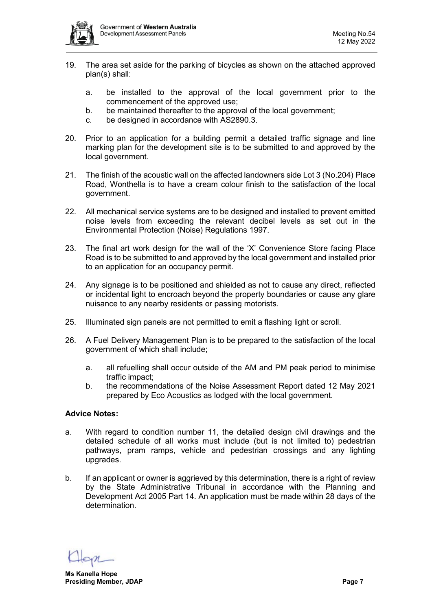

- 19. The area set aside for the parking of bicycles as shown on the attached approved plan(s) shall:
	- a. be installed to the approval of the local government prior to the commencement of the approved use;
	- b. be maintained thereafter to the approval of the local government;
	- c. be designed in accordance with AS2890.3.
- 20. Prior to an application for a building permit a detailed traffic signage and line marking plan for the development site is to be submitted to and approved by the local government.
- 21. The finish of the acoustic wall on the affected landowners side Lot 3 (No.204) Place Road, Wonthella is to have a cream colour finish to the satisfaction of the local government.
- 22. All mechanical service systems are to be designed and installed to prevent emitted noise levels from exceeding the relevant decibel levels as set out in the Environmental Protection (Noise) Regulations 1997.
- 23. The final art work design for the wall of the 'X' Convenience Store facing Place Road is to be submitted to and approved by the local government and installed prior to an application for an occupancy permit.
- 24. Any signage is to be positioned and shielded as not to cause any direct, reflected or incidental light to encroach beyond the property boundaries or cause any glare nuisance to any nearby residents or passing motorists.
- 25. Illuminated sign panels are not permitted to emit a flashing light or scroll.
- 26. A Fuel Delivery Management Plan is to be prepared to the satisfaction of the local government of which shall include;
	- a. all refuelling shall occur outside of the AM and PM peak period to minimise traffic impact;
	- b. the recommendations of the Noise Assessment Report dated 12 May 2021 prepared by Eco Acoustics as lodged with the local government.

#### **Advice Notes:**

- a. With regard to condition number 11, the detailed design civil drawings and the detailed schedule of all works must include (but is not limited to) pedestrian pathways, pram ramps, vehicle and pedestrian crossings and any lighting upgrades.
- b. If an applicant or owner is aggrieved by this determination, there is a right of review by the State Administrative Tribunal in accordance with the Planning and Development Act 2005 Part 14. An application must be made within 28 days of the determination.

**Ms Kanella Hope Presiding Member, JDAP Page 7**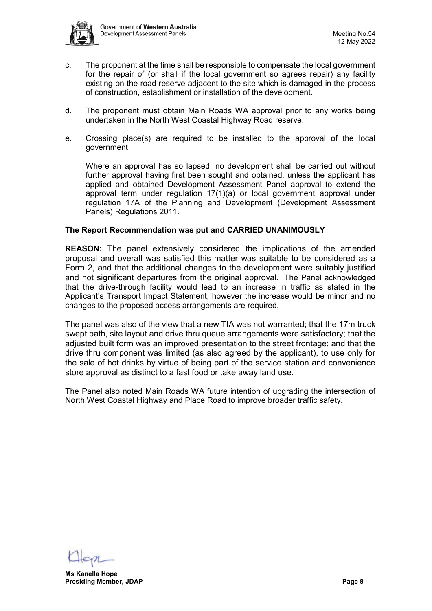

- c. The proponent at the time shall be responsible to compensate the local government for the repair of (or shall if the local government so agrees repair) any facility existing on the road reserve adjacent to the site which is damaged in the process of construction, establishment or installation of the development.
- d. The proponent must obtain Main Roads WA approval prior to any works being undertaken in the North West Coastal Highway Road reserve.
- e. Crossing place(s) are required to be installed to the approval of the local government.

Where an approval has so lapsed, no development shall be carried out without further approval having first been sought and obtained, unless the applicant has applied and obtained Development Assessment Panel approval to extend the approval term under regulation 17(1)(a) or local government approval under regulation 17A of the Planning and Development (Development Assessment Panels) Regulations 2011.

#### **The Report Recommendation was put and CARRIED UNANIMOUSLY**

**REASON:** The panel extensively considered the implications of the amended proposal and overall was satisfied this matter was suitable to be considered as a Form 2, and that the additional changes to the development were suitably justified and not significant departures from the original approval. The Panel acknowledged that the drive-through facility would lead to an increase in traffic as stated in the Applicant's Transport Impact Statement, however the increase would be minor and no changes to the proposed access arrangements are required.

The panel was also of the view that a new TIA was not warranted; that the 17m truck swept path, site layout and drive thru queue arrangements were satisfactory; that the adjusted built form was an improved presentation to the street frontage; and that the drive thru component was limited (as also agreed by the applicant), to use only for the sale of hot drinks by virtue of being part of the service station and convenience store approval as distinct to a fast food or take away land use.

The Panel also noted Main Roads WA future intention of upgrading the intersection of North West Coastal Highway and Place Road to improve broader traffic safety.

**Ms Kanella Hope Presiding Member, JDAP Page 8**